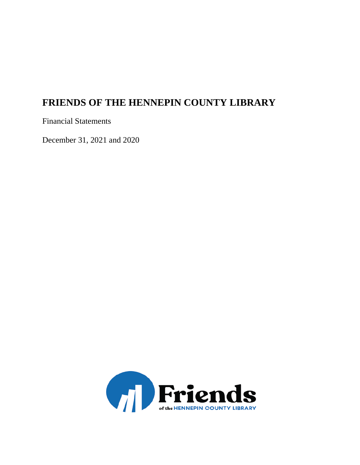Financial Statements

December 31, 2021 and 2020

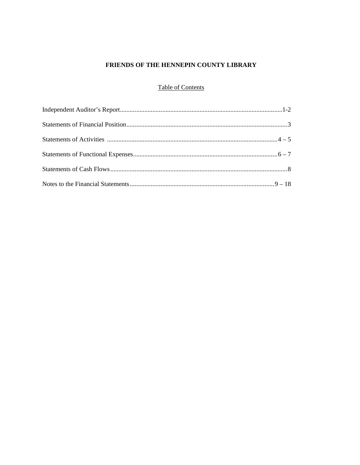## **Table of Contents**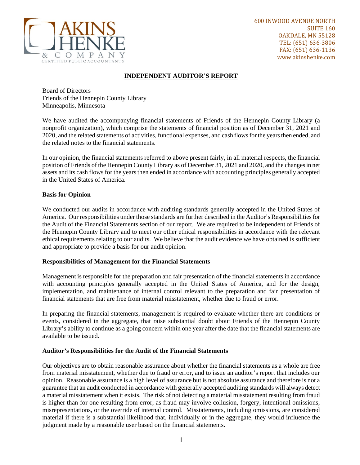

600 INWOOD AVENUE NORTH **SUITE 160** OAKDALE, MN 55128 TEL: (651) 636-3806 FAX: (651) 636-1136 [www.akinshenke.com](http://www.akinshenke.com/)

## **INDEPENDENT AUDITOR'S REPORT**

Board of Directors Friends of the Hennepin County Library Minneapolis, Minnesota

We have audited the accompanying financial statements of Friends of the Hennepin County Library (a nonprofit organization), which comprise the statements of financial position as of December 31, 2021 and 2020, and the related statements of activities, functional expenses, and cash flows for the years then ended, and the related notes to the financial statements.

In our opinion, the financial statements referred to above present fairly, in all material respects, the financial position of Friends of the Hennepin County Library as of December 31, 2021 and 2020, and the changes in net assets and its cash flows for the years then ended in accordance with accounting principles generally accepted in the United States of America.

## **Basis for Opinion**

We conducted our audits in accordance with auditing standards generally accepted in the United States of America. Our responsibilities under those standards are further described in the Auditor's Responsibilities for the Audit of the Financial Statements section of our report. We are required to be independent of Friends of the Hennepin County Library and to meet our other ethical responsibilities in accordance with the relevant ethical requirements relating to our audits. We believe that the audit evidence we have obtained is sufficient and appropriate to provide a basis for our audit opinion.

## **Responsibilities of Management for the Financial Statements**

Management is responsible for the preparation and fair presentation of the financial statements in accordance with accounting principles generally accepted in the United States of America, and for the design, implementation, and maintenance of internal control relevant to the preparation and fair presentation of financial statements that are free from material misstatement, whether due to fraud or error.

In preparing the financial statements, management is required to evaluate whether there are conditions or events, considered in the aggregate, that raise substantial doubt about Friends of the Hennepin County Library's ability to continue as a going concern within one year after the date that the financial statements are available to be issued.

## **Auditor's Responsibilities for the Audit of the Financial Statements**

Our objectives are to obtain reasonable assurance about whether the financial statements as a whole are free from material misstatement, whether due to fraud or error, and to issue an auditor's report that includes our opinion. Reasonable assurance is a high level of assurance but is not absolute assurance and therefore is not a guarantee that an audit conducted in accordance with generally accepted auditing standards will always detect a material misstatement when it exists. The risk of not detecting a material misstatement resulting from fraud is higher than for one resulting from error, as fraud may involve collusion, forgery, intentional omissions, misrepresentations, or the override of internal control. Misstatements, including omissions, are considered material if there is a substantial likelihood that, individually or in the aggregate, they would influence the judgment made by a reasonable user based on the financial statements.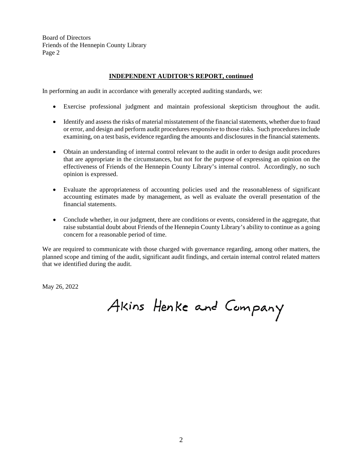Board of Directors Friends of the Hennepin County Library Page 2

## **INDEPENDENT AUDITOR'S REPORT, continued**

In performing an audit in accordance with generally accepted auditing standards, we:

- Exercise professional judgment and maintain professional skepticism throughout the audit.
- Identify and assess the risks of material misstatement of the financial statements, whether due to fraud or error, and design and perform audit procedures responsive to those risks. Such procedures include examining, on a test basis, evidence regarding the amounts and disclosures in the financial statements.
- Obtain an understanding of internal control relevant to the audit in order to design audit procedures that are appropriate in the circumstances, but not for the purpose of expressing an opinion on the effectiveness of Friends of the Hennepin County Library's internal control. Accordingly, no such opinion is expressed.
- Evaluate the appropriateness of accounting policies used and the reasonableness of significant accounting estimates made by management, as well as evaluate the overall presentation of the financial statements.
- Conclude whether, in our judgment, there are conditions or events, considered in the aggregate, that raise substantial doubt about Friends of the Hennepin County Library's ability to continue as a going concern for a reasonable period of time.

We are required to communicate with those charged with governance regarding, among other matters, the planned scope and timing of the audit, significant audit findings, and certain internal control related matters that we identified during the audit.

May 26, 2022

Akins Henke and Company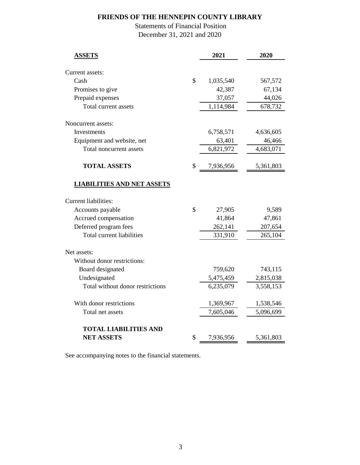Statements of Financial Position December 31, 2021 and 2020

| <b>ASSETS</b>                                                    | 2021             | 2020            |
|------------------------------------------------------------------|------------------|-----------------|
| Current assets:                                                  |                  |                 |
| Cash                                                             | \$<br>1,035,540  | 567,572         |
| Promises to give                                                 | 42,387           | 67,134          |
| Prepaid expenses                                                 | 37,057           | 44,026          |
| Total current assets                                             | 1,114,984        | 678,732         |
|                                                                  |                  |                 |
| Noncurrent assets:                                               |                  |                 |
| Investments                                                      | 6,758,571        | 4,636,605       |
| Equipment and website, net                                       | 63,401           | 46,466          |
| Total noncurrent assets                                          | 6,821,972        | 4,683,071       |
| <b>TOTAL ASSETS</b>                                              | \$<br>7,936,956  | 5,361,803       |
| <b>LIABILITIES AND NET ASSETS</b><br><b>Current liabilities:</b> |                  |                 |
|                                                                  | \$               |                 |
| Accounts payable<br>Accrued compensation                         | 27,905<br>41,864 | 9,589<br>47,861 |
| Deferred program fees                                            | 262,141          | 207,654         |
| Total current liabilities                                        |                  |                 |
|                                                                  | 331,910          | 265,104         |
| Net assets:                                                      |                  |                 |
| Without donor restrictions:                                      |                  |                 |
| Board designated                                                 | 759,620          | 743,115         |
| Undesignated                                                     | 5,475,459        | 2,815,038       |
| Total without donor restrictions                                 | 6,235,079        | 3,558,153       |
| With donor restrictions                                          | 1,369,967        | 1,538,546       |
| Total net assets                                                 | 7,605,046        | 5,096,699       |
|                                                                  |                  |                 |
| <b>TOTAL LIABILITIES AND</b><br><b>NET ASSETS</b>                | \$<br>7,936,956  | 5,361,803       |
|                                                                  |                  |                 |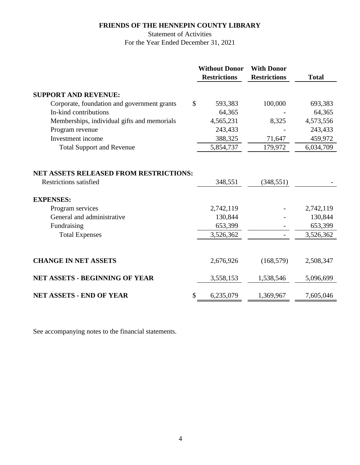## Statement of Activities For the Year Ended December 31, 2021

|                                               | <b>Without Donor</b><br><b>Restrictions</b> | <b>With Donor</b><br><b>Restrictions</b> | <b>Total</b> |
|-----------------------------------------------|---------------------------------------------|------------------------------------------|--------------|
| <b>SUPPORT AND REVENUE:</b>                   |                                             |                                          |              |
| Corporate, foundation and government grants   | \$<br>593,383                               | 100,000                                  | 693,383      |
| In-kind contributions                         | 64,365                                      |                                          | 64,365       |
| Memberships, individual gifts and memorials   | 4,565,231                                   | 8,325                                    | 4,573,556    |
| Program revenue                               | 243,433                                     |                                          | 243,433      |
| Investment income                             | 388,325                                     | 71,647                                   | 459,972      |
| <b>Total Support and Revenue</b>              | 5,854,737                                   | 179,972                                  | 6,034,709    |
|                                               |                                             |                                          |              |
| <b>NET ASSETS RELEASED FROM RESTRICTIONS:</b> |                                             |                                          |              |
| <b>Restrictions satisfied</b>                 | 348,551                                     | (348, 551)                               |              |
| <b>EXPENSES:</b>                              |                                             |                                          |              |
| Program services                              | 2,742,119                                   |                                          | 2,742,119    |
| General and administrative                    | 130,844                                     |                                          | 130,844      |
| Fundraising                                   | 653,399                                     |                                          | 653,399      |
| <b>Total Expenses</b>                         | 3,526,362                                   |                                          | 3,526,362    |
|                                               |                                             |                                          |              |
| <b>CHANGE IN NET ASSETS</b>                   | 2,676,926                                   | (168, 579)                               | 2,508,347    |
| <b>NET ASSETS - BEGINNING OF YEAR</b>         | 3,558,153                                   | 1,538,546                                | 5,096,699    |
| <b>NET ASSETS - END OF YEAR</b>               | \$<br>6,235,079                             | 1,369,967                                | 7,605,046    |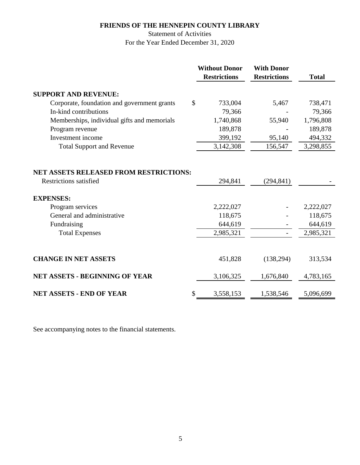## Statement of Activities For the Year Ended December 31, 2020

|                                                                                                    | <b>Without Donor</b><br><b>Restrictions</b> | <b>With Donor</b><br><b>Restrictions</b> | <b>Total</b> |
|----------------------------------------------------------------------------------------------------|---------------------------------------------|------------------------------------------|--------------|
| <b>SUPPORT AND REVENUE:</b>                                                                        |                                             |                                          |              |
| Corporate, foundation and government grants                                                        | \$<br>733,004                               | 5,467                                    | 738,471      |
| In-kind contributions                                                                              | 79,366                                      |                                          | 79,366       |
| Memberships, individual gifts and memorials                                                        | 1,740,868                                   | 55,940                                   | 1,796,808    |
| Program revenue                                                                                    | 189,878                                     |                                          | 189,878      |
| Investment income                                                                                  | 399,192                                     | 95,140                                   | 494,332      |
| <b>Total Support and Revenue</b>                                                                   | 3,142,308                                   | 156,547                                  | 3,298,855    |
| <b>NET ASSETS RELEASED FROM RESTRICTIONS:</b><br><b>Restrictions satisfied</b><br><b>EXPENSES:</b> | 294,841                                     | (294, 841)                               |              |
|                                                                                                    | 2,222,027                                   |                                          | 2,222,027    |
| Program services<br>General and administrative                                                     | 118,675                                     |                                          | 118,675      |
| Fundraising                                                                                        | 644,619                                     |                                          | 644,619      |
| <b>Total Expenses</b>                                                                              | 2,985,321                                   |                                          | 2,985,321    |
|                                                                                                    |                                             |                                          |              |
| <b>CHANGE IN NET ASSETS</b>                                                                        | 451,828                                     | (138, 294)                               | 313,534      |
| <b>NET ASSETS - BEGINNING OF YEAR</b>                                                              | 3,106,325                                   | 1,676,840                                | 4,783,165    |
| <b>NET ASSETS - END OF YEAR</b>                                                                    | \$<br>3,558,153                             | 1,538,546                                | 5,096,699    |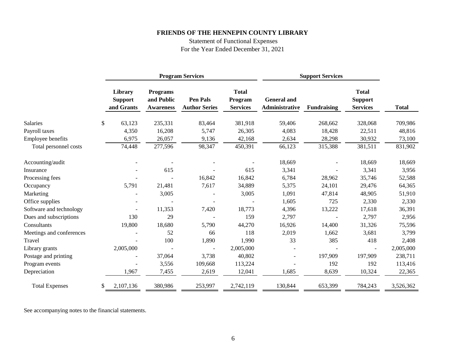Statement of Functional Expenses For the Year Ended December 31, 2021

|                          | <b>Program Services</b> |                                         |                                                   |                                         |                                            | <b>Support Services</b>                     |                    |                                                   |              |
|--------------------------|-------------------------|-----------------------------------------|---------------------------------------------------|-----------------------------------------|--------------------------------------------|---------------------------------------------|--------------------|---------------------------------------------------|--------------|
|                          |                         | Library<br><b>Support</b><br>and Grants | <b>Programs</b><br>and Public<br><b>Awareness</b> | <b>Pen Pals</b><br><b>Author Series</b> | <b>Total</b><br>Program<br><b>Services</b> | <b>General</b> and<br><b>Administrative</b> | <b>Fundraising</b> | <b>Total</b><br><b>Support</b><br><b>Services</b> | <b>Total</b> |
| <b>Salaries</b>          | \$                      | 63,123                                  | 235,331                                           | 83,464                                  | 381,918                                    | 59,406                                      | 268,662            | 328,068                                           | 709,986      |
| Payroll taxes            |                         | 4,350                                   | 16,208                                            | 5,747                                   | 26,305                                     | 4,083                                       | 18,428             | 22,511                                            | 48,816       |
| Employee benefits        |                         | 6,975                                   | 26,057                                            | 9,136                                   | 42,168                                     | 2,634                                       | 28,298             | 30,932                                            | 73,100       |
| Total personnel costs    |                         | 74,448                                  | 277,596                                           | 98,347                                  | 450,391                                    | 66,123                                      | 315,388            | 381,511                                           | 831,902      |
| Accounting/audit         |                         |                                         |                                                   |                                         |                                            | 18,669                                      |                    | 18,669                                            | 18,669       |
| Insurance                |                         |                                         | 615                                               |                                         | 615                                        | 3,341                                       |                    | 3,341                                             | 3,956        |
| Processing fees          |                         |                                         |                                                   | 16,842                                  | 16,842                                     | 6,784                                       | 28,962             | 35,746                                            | 52,588       |
| Occupancy                |                         | 5,791                                   | 21,481                                            | 7,617                                   | 34,889                                     | 5,375                                       | 24,101             | 29,476                                            | 64,365       |
| Marketing                |                         |                                         | 3,005                                             |                                         | 3,005                                      | 1,091                                       | 47,814             | 48,905                                            | 51,910       |
| Office supplies          |                         |                                         |                                                   |                                         |                                            | 1,605                                       | 725                | 2,330                                             | 2,330        |
| Software and technology  |                         |                                         | 11,353                                            | 7,420                                   | 18,773                                     | 4,396                                       | 13,222             | 17,618                                            | 36,391       |
| Dues and subscriptions   |                         | 130                                     | 29                                                |                                         | 159                                        | 2,797                                       |                    | 2,797                                             | 2,956        |
| Consultants              |                         | 19,800                                  | 18,680                                            | 5,790                                   | 44,270                                     | 16,926                                      | 14,400             | 31,326                                            | 75,596       |
| Meetings and conferences |                         |                                         | 52                                                | 66                                      | 118                                        | 2,019                                       | 1,662              | 3,681                                             | 3,799        |
| Travel                   |                         |                                         | 100                                               | 1,890                                   | 1,990                                      | 33                                          | 385                | 418                                               | 2,408        |
| Library grants           |                         | 2,005,000                               |                                                   |                                         | 2,005,000                                  |                                             |                    | $\overline{\phantom{a}}$                          | 2,005,000    |
| Postage and printing     |                         |                                         | 37,064                                            | 3,738                                   | 40,802                                     |                                             | 197,909            | 197,909                                           | 238,711      |
| Program events           |                         |                                         | 3,556                                             | 109,668                                 | 113,224                                    |                                             | 192                | 192                                               | 113,416      |
| Depreciation             |                         | 1,967                                   | 7,455                                             | 2,619                                   | 12,041                                     | 1,685                                       | 8,639              | 10,324                                            | 22,365       |
| <b>Total Expenses</b>    | \$                      | 2,107,136                               | 380,986                                           | 253,997                                 | 2,742,119                                  | 130,844                                     | 653,399            | 784,243                                           | 3,526,362    |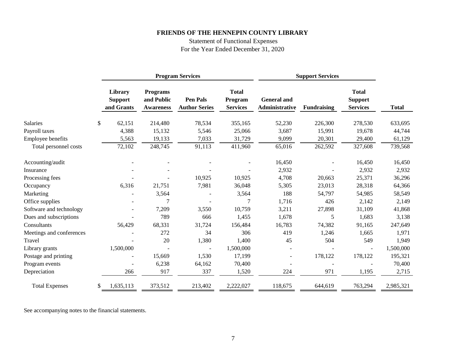Statement of Functional Expenses For the Year Ended December 31, 2020

|                          | <b>Program Services</b> |                                         |                                            |                                         |                                            | <b>Support Services</b>                     |                    |                                                   |              |
|--------------------------|-------------------------|-----------------------------------------|--------------------------------------------|-----------------------------------------|--------------------------------------------|---------------------------------------------|--------------------|---------------------------------------------------|--------------|
|                          |                         | Library<br><b>Support</b><br>and Grants | <b>Programs</b><br>and Public<br>Awareness | <b>Pen Pals</b><br><b>Author Series</b> | <b>Total</b><br>Program<br><b>Services</b> | <b>General</b> and<br><b>Administrative</b> | <b>Fundraising</b> | <b>Total</b><br><b>Support</b><br><b>Services</b> | <b>Total</b> |
| Salaries                 | \$                      | 62,151                                  | 214,480                                    | 78,534                                  | 355,165                                    | 52,230                                      | 226,300            | 278,530                                           | 633,695      |
| Payroll taxes            |                         | 4,388                                   | 15,132                                     | 5,546                                   | 25,066                                     | 3,687                                       | 15,991             | 19,678                                            | 44,744       |
| Employee benefits        |                         | 5,563                                   | 19,133                                     | 7,033                                   | 31,729                                     | 9,099                                       | 20,301             | 29,400                                            | 61,129       |
| Total personnel costs    |                         | 72,102                                  | 248,745                                    | 91,113                                  | 411,960                                    | 65,016                                      | 262,592            | 327,608                                           | 739,568      |
| Accounting/audit         |                         |                                         |                                            |                                         |                                            | 16,450                                      |                    | 16,450                                            | 16,450       |
| Insurance                |                         |                                         |                                            |                                         |                                            | 2,932                                       |                    | 2,932                                             | 2,932        |
| Processing fees          |                         |                                         |                                            | 10,925                                  | 10,925                                     | 4,708                                       | 20,663             | 25,371                                            | 36,296       |
| Occupancy                |                         | 6,316                                   | 21,751                                     | 7,981                                   | 36,048                                     | 5,305                                       | 23,013             | 28,318                                            | 64,366       |
| Marketing                |                         |                                         | 3,564                                      |                                         | 3,564                                      | 188                                         | 54,797             | 54,985                                            | 58,549       |
| Office supplies          |                         |                                         | 7                                          |                                         | 7                                          | 1,716                                       | 426                | 2,142                                             | 2,149        |
| Software and technology  |                         |                                         | 7,209                                      | 3,550                                   | 10,759                                     | 3,211                                       | 27,898             | 31,109                                            | 41,868       |
| Dues and subscriptions   |                         |                                         | 789                                        | 666                                     | 1,455                                      | 1,678                                       | 5                  | 1,683                                             | 3,138        |
| Consultants              |                         | 56,429                                  | 68,331                                     | 31,724                                  | 156,484                                    | 16,783                                      | 74,382             | 91,165                                            | 247,649      |
| Meetings and conferences |                         |                                         | 272                                        | 34                                      | 306                                        | 419                                         | 1,246              | 1,665                                             | 1,971        |
| Travel                   |                         |                                         | 20                                         | 1,380                                   | 1,400                                      | 45                                          | 504                | 549                                               | 1,949        |
| Library grants           |                         | 1,500,000                               |                                            |                                         | 1,500,000                                  |                                             |                    |                                                   | 1,500,000    |
| Postage and printing     |                         |                                         | 15,669                                     | 1,530                                   | 17,199                                     |                                             | 178,122            | 178,122                                           | 195,321      |
| Program events           |                         |                                         | 6,238                                      | 64,162                                  | 70,400                                     |                                             |                    |                                                   | 70,400       |
| Depreciation             |                         | 266                                     | 917                                        | 337                                     | 1,520                                      | 224                                         | 971                | 1,195                                             | 2,715        |
| <b>Total Expenses</b>    | \$                      | 1,635,113                               | 373,512                                    | 213,402                                 | 2,222,027                                  | 118,675                                     | 644,619            | 763,294                                           | 2,985,321    |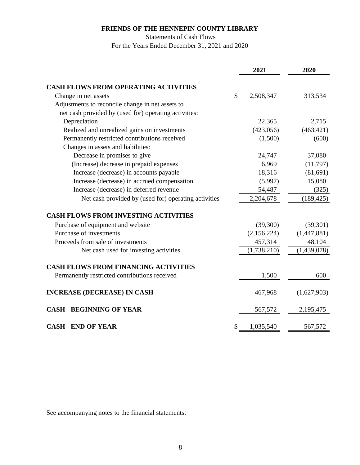Statements of Cash Flows

For the Years Ended December 31, 2021 and 2020

|                                                       | 2021            | 2020        |
|-------------------------------------------------------|-----------------|-------------|
|                                                       |                 |             |
| <b>CASH FLOWS FROM OPERATING ACTIVITIES</b>           |                 |             |
| Change in net assets                                  | \$<br>2,508,347 | 313,534     |
| Adjustments to reconcile change in net assets to      |                 |             |
| net cash provided by (used for) operating activities: |                 |             |
| Depreciation                                          | 22,365          | 2,715       |
| Realized and unrealized gains on investments          | (423, 056)      | (463, 421)  |
| Permanently restricted contributions received         | (1,500)         | (600)       |
| Changes in assets and liabilities:                    |                 |             |
| Decrease in promises to give                          | 24,747          | 37,080      |
| (Increase) decrease in prepaid expenses               | 6,969           | (11,797)    |
| Increase (decrease) in accounts payable               | 18,316          | (81, 691)   |
| Increase (decrease) in accrued compensation           | (5,997)         | 15,080      |
| Increase (decrease) in deferred revenue               | 54,487          | (325)       |
| Net cash provided by (used for) operating activities  | 2,204,678       | (189, 425)  |
| <b>CASH FLOWS FROM INVESTING ACTIVITIES</b>           |                 |             |
| Purchase of equipment and website                     | (39,300)        | (39,301)    |
| Purchase of investments                               | (2,156,224)     | (1,447,881) |
| Proceeds from sale of investments                     | 457,314         | 48,104      |
| Net cash used for investing activities                | (1,738,210)     | (1,439,078) |
| <b>CASH FLOWS FROM FINANCING ACTIVITIES</b>           |                 |             |
| Permanently restricted contributions received         | 1,500           | 600         |
| <b>INCREASE (DECREASE) IN CASH</b>                    | 467,968         | (1,627,903) |
| <b>CASH - BEGINNING OF YEAR</b>                       | 567,572         | 2,195,475   |
| <b>CASH - END OF YEAR</b>                             | \$<br>1,035,540 | 567,572     |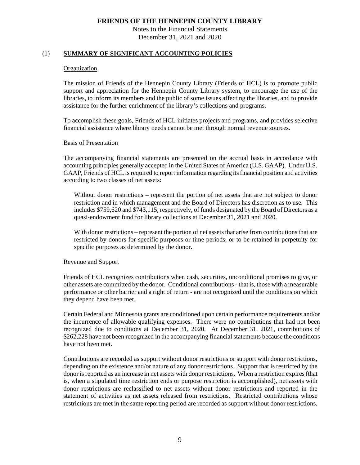Notes to the Financial Statements December 31, 2021 and 2020

## (1) **SUMMARY OF SIGNIFICANT ACCOUNTING POLICIES**

#### Organization

The mission of Friends of the Hennepin County Library (Friends of HCL) is to promote public support and appreciation for the Hennepin County Library system, to encourage the use of the libraries, to inform its members and the public of some issues affecting the libraries, and to provide assistance for the further enrichment of the library's collections and programs.

To accomplish these goals, Friends of HCL initiates projects and programs, and provides selective financial assistance where library needs cannot be met through normal revenue sources.

#### Basis of Presentation

The accompanying financial statements are presented on the accrual basis in accordance with accounting principles generally accepted in the United States of America (U.S. GAAP). Under U.S. GAAP, Friends of HCL is required to report information regarding its financial position and activities according to two classes of net assets:

Without donor restrictions – represent the portion of net assets that are not subject to donor restriction and in which management and the Board of Directors has discretion as to use. This includes \$759,620 and \$743,115, respectively, of funds designated by the Board of Directors as a quasi-endowment fund for library collections at December 31, 2021 and 2020.

With donor restrictions – represent the portion of net assets that arise from contributions that are restricted by donors for specific purposes or time periods, or to be retained in perpetuity for specific purposes as determined by the donor.

#### Revenue and Support

Friends of HCL recognizes contributions when cash, securities, unconditional promises to give, or other assets are committed by the donor. Conditional contributions - that is, those with a measurable performance or other barrier and a right of return - are not recognized until the conditions on which they depend have been met.

Certain Federal and Minnesota grants are conditioned upon certain performance requirements and/or the incurrence of allowable qualifying expenses. There were no contributions that had not been recognized due to conditions at December 31, 2020. At December 31, 2021, contributions of \$262,228 have not been recognized in the accompanying financial statements because the conditions have not been met.

Contributions are recorded as support without donor restrictions or support with donor restrictions, depending on the existence and/or nature of any donor restrictions. Support that is restricted by the donor is reported as an increase in net assets with donor restrictions. When a restriction expires (that is, when a stipulated time restriction ends or purpose restriction is accomplished), net assets with donor restrictions are reclassified to net assets without donor restrictions and reported in the statement of activities as net assets released from restrictions. Restricted contributions whose restrictions are met in the same reporting period are recorded as support without donor restrictions.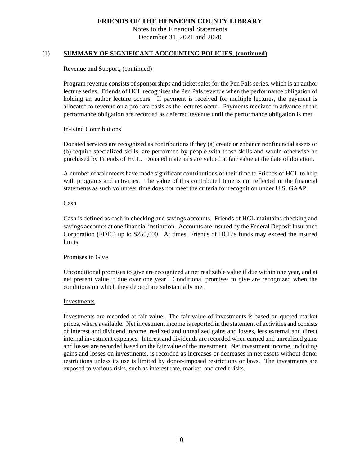Notes to the Financial Statements December 31, 2021 and 2020

## (1) **SUMMARY OF SIGNIFICANT ACCOUNTING POLICIES, (continued)**

#### Revenue and Support, (continued)

Program revenue consists of sponsorships and ticket sales for the Pen Pals series, which is an author lecture series. Friends of HCL recognizes the Pen Pals revenue when the performance obligation of holding an author lecture occurs. If payment is received for multiple lectures, the payment is allocated to revenue on a pro-rata basis as the lectures occur. Payments received in advance of the performance obligation are recorded as deferred revenue until the performance obligation is met.

#### In-Kind Contributions

Donated services are recognized as contributions if they (a) create or enhance nonfinancial assets or (b) require specialized skills, are performed by people with those skills and would otherwise be purchased by Friends of HCL. Donated materials are valued at fair value at the date of donation.

A number of volunteers have made significant contributions of their time to Friends of HCL to help with programs and activities. The value of this contributed time is not reflected in the financial statements as such volunteer time does not meet the criteria for recognition under U.S. GAAP.

## Cash

Cash is defined as cash in checking and savings accounts. Friends of HCL maintains checking and savings accounts at one financial institution. Accounts are insured by the Federal Deposit Insurance Corporation (FDIC) up to \$250,000. At times, Friends of HCL's funds may exceed the insured limits.

## Promises to Give

Unconditional promises to give are recognized at net realizable value if due within one year, and at net present value if due over one year. Conditional promises to give are recognized when the conditions on which they depend are substantially met.

#### Investments

Investments are recorded at fair value. The fair value of investments is based on quoted market prices, where available. Net investment income is reported in the statement of activities and consists of interest and dividend income, realized and unrealized gains and losses, less external and direct internal investment expenses. Interest and dividends are recorded when earned and unrealized gains and losses are recorded based on the fair value of the investment. Net investment income, including gains and losses on investments, is recorded as increases or decreases in net assets without donor restrictions unless its use is limited by donor-imposed restrictions or laws. The investments are exposed to various risks, such as interest rate, market, and credit risks.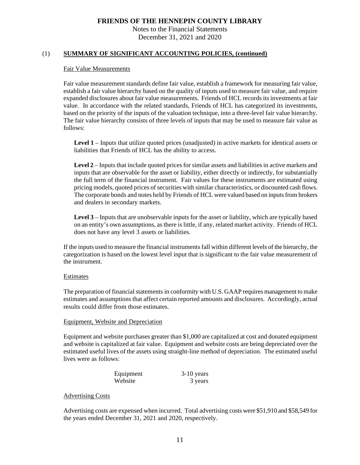Notes to the Financial Statements December 31, 2021 and 2020

## (1) **SUMMARY OF SIGNIFICANT ACCOUNTING POLICIES, (continued)**

#### Fair Value Measurements

Fair value measurement standards define fair value, establish a framework for measuring fair value, establish a fair value hierarchy based on the quality of inputs used to measure fair value, and require expanded disclosures about fair value measurements. Friends of HCL records its investments at fair value. In accordance with the related standards, Friends of HCL has categorized its investments, based on the priority of the inputs of the valuation technique, into a three-level fair value hierarchy. The fair value hierarchy consists of three levels of inputs that may be used to measure fair value as follows:

**Level 1** – Inputs that utilize quoted prices (unadjusted) in active markets for identical assets or liabilities that Friends of HCL has the ability to access.

**Level 2** – Inputs that include quoted prices for similar assets and liabilities in active markets and inputs that are observable for the asset or liability, either directly or indirectly, for substantially the full term of the financial instrument. Fair values for these instruments are estimated using pricing models, quoted prices of securities with similar characteristics, or discounted cash flows. The corporate bonds and notes held by Friends of HCL were valued based on inputs from brokers and dealers in secondary markets.

**Level 3** – Inputs that are unobservable inputs for the asset or liability, which are typically based on an entity's own assumptions, as there is little, if any, related market activity. Friends of HCL does not have any level 3 assets or liabilities.

If the inputs used to measure the financial instruments fall within different levels of the hierarchy, the categorization is based on the lowest level input that is significant to the fair value measurement of the instrument.

## Estimates

The preparation of financial statements in conformity with U.S. GAAP requires management to make estimates and assumptions that affect certain reported amounts and disclosures. Accordingly, actual results could differ from those estimates.

## Equipment, Website and Depreciation

Equipment and website purchases greater than \$1,000 are capitalized at cost and donated equipment and website is capitalized at fair value. Equipment and website costs are being depreciated over the estimated useful lives of the assets using straight-line method of depreciation. The estimated useful lives were as follows:

| Equipment | $3-10$ years |
|-----------|--------------|
| Website   | 3 years      |

## Advertising Costs

Advertising costs are expensed when incurred. Total advertising costs were \$51,910 and \$58,549 for the years ended December 31, 2021 and 2020, respectively.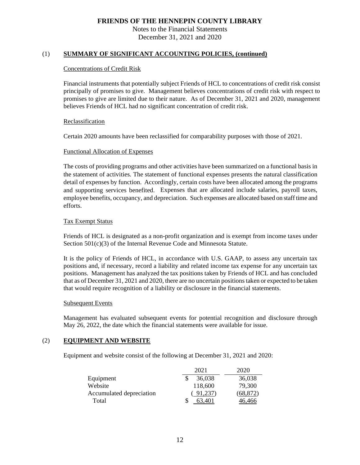Notes to the Financial Statements December 31, 2021 and 2020

## (1) **SUMMARY OF SIGNIFICANT ACCOUNTING POLICIES, (continued)**

#### Concentrations of Credit Risk

Financial instruments that potentially subject Friends of HCL to concentrations of credit risk consist principally of promises to give. Management believes concentrations of credit risk with respect to promises to give are limited due to their nature. As of December 31, 2021 and 2020, management believes Friends of HCL had no significant concentration of credit risk.

#### Reclassification

Certain 2020 amounts have been reclassified for comparability purposes with those of 2021.

#### Functional Allocation of Expenses

The costs of providing programs and other activities have been summarized on a functional basis in the statement of activities. The statement of functional expenses presents the natural classification detail of expenses by function. Accordingly, certain costs have been allocated among the programs and supporting services benefited. Expenses that are allocated include salaries, payroll taxes, employee benefits, occupancy, and depreciation. Such expenses are allocated based on staff time and efforts.

#### Tax Exempt Status

Friends of HCL is designated as a non-profit organization and is exempt from income taxes under Section 501(c)(3) of the Internal Revenue Code and Minnesota Statute.

It is the policy of Friends of HCL, in accordance with U.S. GAAP, to assess any uncertain tax positions and, if necessary, record a liability and related income tax expense for any uncertain tax positions. Management has analyzed the tax positions taken by Friends of HCL and has concluded that as of December 31, 2021 and 2020, there are no uncertain positions taken or expected to be taken that would require recognition of a liability or disclosure in the financial statements.

#### Subsequent Events

Management has evaluated subsequent events for potential recognition and disclosure through May 26, 2022, the date which the financial statements were available for issue.

## (2) **EQUIPMENT AND WEBSITE**

Equipment and website consist of the following at December 31, 2021 and 2020:

|                          | 2021    | 2020      |
|--------------------------|---------|-----------|
| Equipment                | 36,038  | 36,038    |
| Website                  | 118,600 | 79,300    |
| Accumulated depreciation | 91.237) | (68, 872) |
| Total                    | 63.401  | 46.466    |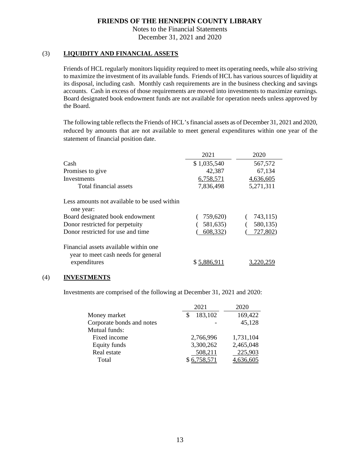Notes to the Financial Statements December 31, 2021 and 2020

## (3) **LIQUIDITY AND FINANCIAL ASSETS**

Friends of HCL regularly monitors liquidity required to meet its operating needs, while also striving to maximize the investment of its available funds. Friends of HCL has various sources of liquidity at its disposal, including cash. Monthly cash requirements are in the business checking and savings accounts. Cash in excess of those requirements are moved into investments to maximize earnings. Board designated book endowment funds are not available for operation needs unless approved by the Board.

The following table reflects the Friends of HCL's financial assets as of December 31, 2021 and 2020, reduced by amounts that are not available to meet general expenditures within one year of the statement of financial position date.

|                                                                              | 2021        | 2020      |
|------------------------------------------------------------------------------|-------------|-----------|
| Cash                                                                         | \$1,035,540 | 567,572   |
| Promises to give                                                             | 42,387      | 67,134    |
| Investments                                                                  | 6,758,571   | 4,636,605 |
| Total financial assets                                                       | 7,836,498   | 5,271,311 |
| Less amounts not available to be used within<br>one year:                    |             |           |
| Board designated book endowment                                              | 759,620)    | 743,115)  |
| Donor restricted for perpetuity                                              | 581,635)    | 580,135)  |
| Donor restricted for use and time                                            | 608,332)    | 727,802)  |
| Financial assets available within one<br>year to meet cash needs for general |             |           |
| expenditures                                                                 | \$5,886,91  |           |

#### (4) **INVESTMENTS**

Investments are comprised of the following at December 31, 2021 and 2020:

| 2021      | 2020      |
|-----------|-----------|
| 183,102   | 169,422   |
|           | 45,128    |
|           |           |
| 2,766,996 | 1,731,104 |
| 3,300,262 | 2,465,048 |
| 508,211   | 225,903   |
|           | .636,605  |
|           |           |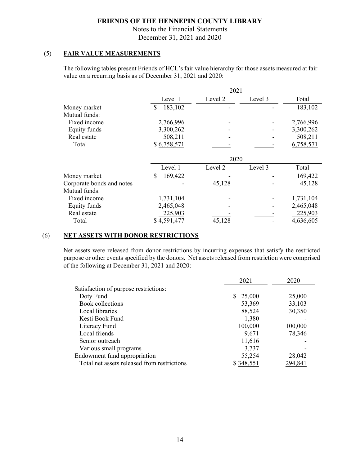Notes to the Financial Statements December 31, 2021 and 2020

#### (5) **FAIR VALUE MEASUREMENTS**

The following tables present Friends of HCL's fair value hierarchy for those assets measured at fair value on a recurring basis as of December 31, 2021 and 2020:

|                           | 2021          |         |         |           |  |  |
|---------------------------|---------------|---------|---------|-----------|--|--|
|                           | Level 1       | Level 2 | Level 3 | Total     |  |  |
| Money market              | \$<br>183,102 |         |         | 183,102   |  |  |
| Mutual funds:             |               |         |         |           |  |  |
| Fixed income              | 2,766,996     |         |         | 2,766,996 |  |  |
| Equity funds              | 3,300,262     |         |         | 3,300,262 |  |  |
| Real estate               | 508,211       |         |         | 508,211   |  |  |
| Total                     | \$6,758,571   |         |         | 6,758,571 |  |  |
|                           | 2020          |         |         |           |  |  |
|                           | Level 1       | Level 2 | Level 3 | Total     |  |  |
| Money market              | 169,422<br>S  |         |         | 169,422   |  |  |
| Corporate bonds and notes |               | 45,128  |         | 45,128    |  |  |
| Mutual funds:             |               |         |         |           |  |  |
| Fixed income              | 1,731,104     |         |         | 1,731,104 |  |  |
| Equity funds              | 2,465,048     |         |         | 2,465,048 |  |  |
| Real estate               | 225,903       |         |         | 225,903   |  |  |
| Total                     | \$4,591,477   |         |         | 4,636,605 |  |  |

## (6) **NET ASSETS WITH DONOR RESTRICTIONS**

Net assets were released from donor restrictions by incurring expenses that satisfy the restricted purpose or other events specified by the donors. Net assets released from restriction were comprised of the following at December 31, 2021 and 2020:

|                                             | 2021      | 2020           |
|---------------------------------------------|-----------|----------------|
| Satisfaction of purpose restrictions:       |           |                |
| Doty Fund                                   | \$25,000  | 25,000         |
| Book collections                            | 53,369    | 33,103         |
| Local libraries                             | 88,524    | 30,350         |
| Kesti Book Fund                             | 1,380     |                |
| Literacy Fund                               | 100,000   | 100,000        |
| Local friends                               | 9,671     | 78,346         |
| Senior outreach                             | 11,616    |                |
| Various small programs                      | 3,737     |                |
| Endowment fund appropriation                | 55,254    | 28,042         |
| Total net assets released from restrictions | \$348,551 | <u>294,841</u> |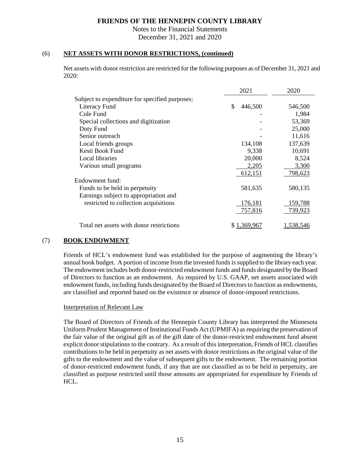Notes to the Financial Statements December 31, 2021 and 2020

## (6) **NET ASSETS WITH DONOR RESTRICTIONS, (continued)**

Net assets with donor restriction are restricted for the following purposes as of December 31, 2021 and 2020:

|                                                | 2021          | 2020     |
|------------------------------------------------|---------------|----------|
| Subject to expenditure for specified purposes: |               |          |
| <b>Literacy Fund</b>                           | \$<br>446,500 | 546,500  |
| Cole Fund                                      |               | 1,984    |
| Special collections and digitization           |               | 53,369   |
| Doty Fund                                      |               | 25,000   |
| Senior outreach                                |               | 11,616   |
| Local friends groups                           | 134,108       | 137,639  |
| Kesti Book Fund                                | 9,338         | 10,691   |
| Local libraries                                | 20,000        | 8,524    |
| Various small programs                         | 2,205         | 3,300    |
|                                                | 612,151       | 798,623  |
| Endowment fund:                                |               |          |
| Funds to be held in perpetuity                 | 581,635       | 580,135  |
| Earnings subject to appropriation and          |               |          |
| restricted to collection acquisitions          | 176,181       | 159,788  |
|                                                | 757,816       | 739,923  |
| Total net assets with donor restrictions       | \$1,369,967   | .538.546 |

## (7) **BOOK ENDOWMENT**

Friends of HCL's endowment fund was established for the purpose of augmenting the library's annual book budget. A portion of income from the invested funds is supplied to the library each year. The endowment includes both donor-restricted endowment funds and funds designated by the Board of Directors to function as an endowment. As required by U.S. GAAP, net assets associated with endowment funds, including funds designated by the Board of Directors to function as endowments, are classified and reported based on the existence or absence of donor-imposed restrictions.

## Interpretation of Relevant Law

The Board of Directors of Friends of the Hennepin County Library has interpreted the Minnesota Uniform Prudent Management of Institutional Funds Act (UPMIFA) as requiring the preservation of the fair value of the original gift as of the gift date of the donor-restricted endowment fund absent explicit donor stipulations to the contrary. As a result of this interpretation, Friends of HCL classifies contributions to be held in perpetuity as net assets with donor restrictions as the original value of the gifts to the endowment and the value of subsequent gifts to the endowment. The remaining portion of donor-restricted endowment funds, if any that are not classified as to be held in perpetuity, are classified as purpose restricted until those amounts are appropriated for expenditure by Friends of HCL.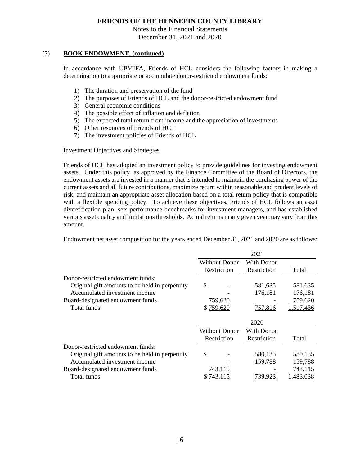Notes to the Financial Statements December 31, 2021 and 2020

## (7) **BOOK ENDOWMENT, (continued)**

In accordance with UPMIFA, Friends of HCL considers the following factors in making a determination to appropriate or accumulate donor-restricted endowment funds:

- 1) The duration and preservation of the fund
- 2) The purposes of Friends of HCL and the donor-restricted endowment fund
- 3) General economic conditions
- 4) The possible effect of inflation and deflation
- 5) The expected total return from income and the appreciation of investments
- 6) Other resources of Friends of HCL
- 7) The investment policies of Friends of HCL

#### Investment Objectives and Strategies

Friends of HCL has adopted an investment policy to provide guidelines for investing endowment assets. Under this policy, as approved by the Finance Committee of the Board of Directors, the endowment assets are invested in a manner that is intended to maintain the purchasing power of the current assets and all future contributions, maximize return within reasonable and prudent levels of risk, and maintain an appropriate asset allocation based on a total return policy that is compatible with a flexible spending policy. To achieve these objectives, Friends of HCL follows an asset diversification plan, sets performance benchmarks for investment managers, and has established various asset quality and limitations thresholds. Actual returns in any given year may vary from this amount.

Endowment net asset composition for the years ended December 31, 2021 and 2020 are as follows:

|                                                |                      | 2021        |           |
|------------------------------------------------|----------------------|-------------|-----------|
|                                                | Without Donor        | With Donor  |           |
|                                                | Restriction          | Restriction | Total     |
| Donor-restricted endowment funds:              |                      |             |           |
| Original gift amounts to be held in perpetuity | \$                   | 581,635     | 581,635   |
| Accumulated investment income                  |                      | 176,181     | 176,181   |
| Board-designated endowment funds               | 759,620              |             | 759,620   |
| Total funds                                    | \$759,620            | 757,816     | 1,517,436 |
|                                                |                      |             |           |
|                                                |                      | 2020        |           |
|                                                | <b>Without Donor</b> | With Donor  |           |
|                                                | Restriction          | Restriction | Total     |
| Donor-restricted endowment funds:              |                      |             |           |
| Original gift amounts to be held in perpetuity | \$                   | 580,135     | 580,135   |
| Accumulated investment income                  |                      | 159,788     | 159,788   |
| Board-designated endowment funds               | 743.115              |             | 743,115   |
| Total funds                                    | 743,115              | 739,923     | 1,483,038 |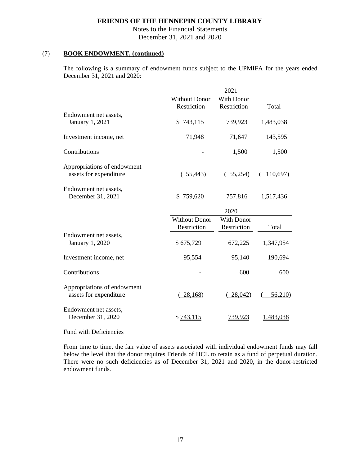Notes to the Financial Statements December 31, 2021 and 2020

## (7) **BOOK ENDOWMENT, (continued)**

The following is a summary of endowment funds subject to the UPMIFA for the years ended December 31, 2021 and 2020:

|                                                       | 2021                 |                   |           |
|-------------------------------------------------------|----------------------|-------------------|-----------|
|                                                       | <b>Without Donor</b> | <b>With Donor</b> |           |
|                                                       | Restriction          | Restriction       | Total     |
| Endowment net assets,                                 |                      |                   |           |
| January 1, 2021                                       | \$743,115            | 739,923           | 1,483,038 |
| Investment income, net                                | 71,948               | 71,647            | 143,595   |
| Contributions                                         |                      | 1,500             | 1,500     |
| Appropriations of endowment                           |                      |                   |           |
| assets for expenditure                                | (55, 443)            | (55,254)          | (110,697) |
| Endowment net assets,<br>December 31, 2021            | \$759,620            | 757,816           | 1,517,436 |
|                                                       |                      | 2020              |           |
|                                                       | <b>Without Donor</b> | <b>With Donor</b> |           |
|                                                       | Restriction          | Restriction       | Total     |
| Endowment net assets,                                 |                      |                   |           |
| January 1, 2020                                       | \$675,729            | 672,225           | 1,347,954 |
| Investment income, net                                | 95,554               | 95,140            | 190,694   |
| Contributions                                         |                      | 600               | 600       |
| Appropriations of endowment<br>assets for expenditure | 28,168)              | 28,042)           | 56,210)   |
| Endowment net assets,<br>December 31, 2020            | \$743,115            | <u>739.923</u>    | 1,483,038 |

#### Fund with Deficiencies

From time to time, the fair value of assets associated with individual endowment funds may fall below the level that the donor requires Friends of HCL to retain as a fund of perpetual duration. There were no such deficiencies as of December 31, 2021 and 2020, in the donor-restricted endowment funds.